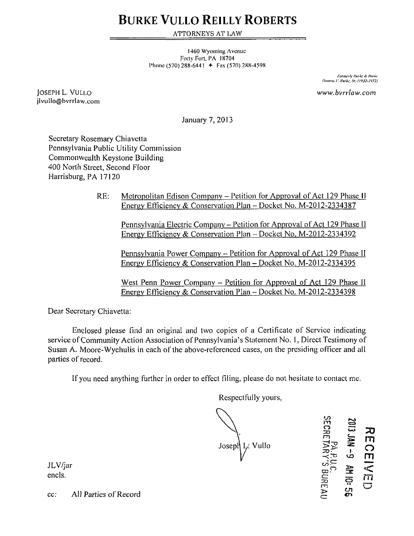# **BURKE VULLO REILLY ROBERTS**

ATTORNEYS AT LAW

1460 Wyoming Avenue Forty Fori. PA 18704 Phone (570) 288-6441  $+$  Fax (570) 288-4598

> *l-iirmtily Hmlie it limkc !'luurm.\ F. Hurh; Sr. (W2.I'>?2)*

*www. bvrrlaw.com* 

JOSEPH L. VULLO jlvullo@bvrrlaw.com

January 7, 2013

Secretary Rosemary Chiavetta Pennsylvania Public Utility Commission Commonwealth Keystone Building 400 North Street, Second Floor Harrisburg, PA 17120

> RE: Metropolitan Edison Company - Petition for Approval of Act 129 Phase 11 Energy Efficiency & Conservation Plan - Docket No. M-2012-2334387

Pennsylvania Electric Company - Petition for Approval of Act 129 Phase II Energy Efficiency & Conservation Plan - Docket No. M-2012-2334392

Pennsylvania Power Company - Petition for Approval of Act 129 Phase II Energy Efficiency & Conservation Plan - Docket No. M-2012-2334395

West Penn Power Company – Petition for Approval of Act 129 Phase II Energy Efficiency & Conservation Plan - Docket No. M-2012-2334398

Dear Secretary Chiavetta:

Enclosed please find an original and two copies of a Certificate of Service indicating service of Community Action Association of Pennsylvania's Statement No. 1, Direct Testimony of Susan A. Moore-Wychulis in each of the above-referenced cases, on the presiding officer and all parties of record.

Ifyou need anything further in order to effect filing, please do not hesitate to contact me.

Respectfully yours,

Josepl<sup>1</sup> Vullo

m o  $\stackrel{\pm\infty}{\prec}$ ंज c oP c:  $\widetilde{\mathcal{H}}$ JAN -9 AH IO: m .<br>پ m < rn

JLV/jar encls.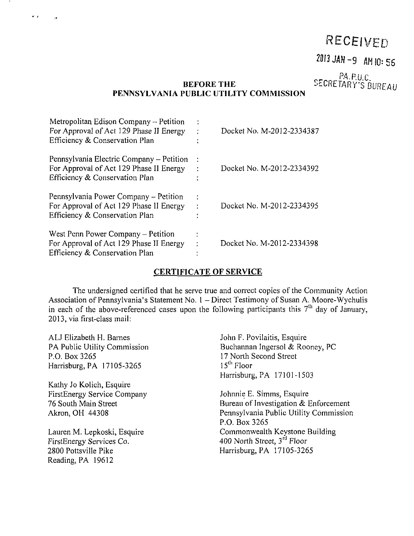# RECEIVED

### 2013 JAN-9 AM 10:56

PA.P.u.C SECRETARY'S BUREAU

### **BEFORE THE PENNSYLVANIA PUBLIC UTILITY COMMISSION**

| Metropolitan Edison Company – Petition<br>For Approval of Act 129 Phase II Energy<br>Efficiency & Conservation Plan   | ٠      | Docket No. M-2012-2334387 |
|-----------------------------------------------------------------------------------------------------------------------|--------|---------------------------|
| Pennsylvania Electric Company – Petition<br>For Approval of Act 129 Phase II Energy<br>Efficiency & Conservation Plan | ٠      | Docket No. M-2012-2334392 |
| Pennsylvania Power Company – Petition<br>For Approval of Act 129 Phase II Energy<br>Efficiency & Conservation Plan    | ÷<br>٠ | Docket No. M-2012-2334395 |
| West Penn Power Company – Petition<br>For Approval of Act 129 Phase II Energy<br>Efficiency & Conservation Plan       |        | Docket No. M-2012-2334398 |

 $\sigma^2 \neq$ 

#### **CERTIFICATE OF SERVICE**

The undersigned certified that he serve true and correct copies of the Community Action Association of Pennsylvania's Statement No. 1 - Direct Testimony of Susan A. Moore-Wychulis in each of the above-referenced cases upon the following participants this  $7<sup>th</sup>$  day of January, 2013, via first-class mail:

ALJ Elizabeth H. Barnes PA Public Utility Commission P.O. Box 3265 Harrisburg, PA 17105-3265 Kathy Jo Kolich, Esquire FirstEnergy Service Company 76 South Main Street Akron, OH 44308 Lauren M. Lepkoski, Esquire FirstEnergy Services Co. 2800 Pottsville Pike Reading, PA 19612 John F. Povilaitis, Esquire Buchannan Ingersol & Rooney, PC 17 North Second Street 15<sup>th</sup> Floor Harrisburg, PA 17101-1503 Johnnie E. Simms, Esquire Bureau of Investigation & Enforcement Pennsylvania Public Utility Commission P.O. Box 3265 Commonwealth Keystone Building 400 North Street, 3<sup>rd</sup> Floor Harrisburg, PA 17105-3265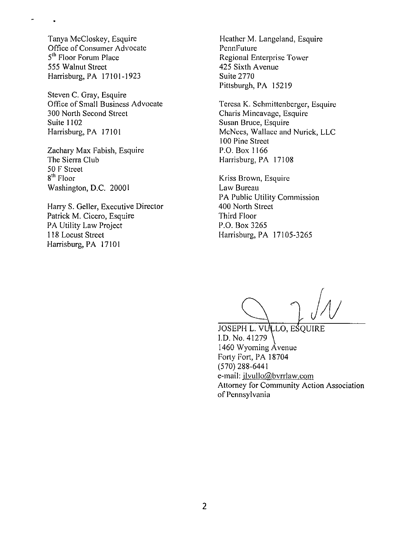Tanya McCloskey, Esquire Office of Consumer Advocate 5<sup>th</sup> Floor Forum Place 555 Walnut Street Harrisburg, PA 17101-1923

 $\ddot{\phantom{1}}$ 

Steven C. Gray, Esquire Office of Small Business Advocate 300 North Second Street Suite 1102 Harrisburg, PA 17101

Zachary Max Fabish, Esquire The Sierra Club 50 F Street 8<sup>m</sup> Floor Washington, D.C. 20001

Harry S. Geller, Executive Director Patrick M. Cicero, Esquire PA Utility Law Project 118 Locust Street Harrisburg, PA 17101

Heather M. Langeland, Esquire PennFuture Regional Enterprise Tower 425 Sixth Avenue Suite 2770 Pittsburgh, PA 15219

Teresa K. Schmittenberger, Esquire Charis Mincavage, Esquire Susan Bruce, Esquire McNees, Wallace and Nurick, LLC 100 Pine Street P.O. Box 1166 Harrisburg, PA 17108

Kriss Brown, Esquire Law Bureau PA Public Utility Commission 400 North Street Third Floor P.O. Box 3265 Harrisburg, PA 17105-3265

JOSEPH L. VULLO, ESQUIRE I.D. No. 41279 1460 Wyoming Avenue Forty Fort, PA 18704 (570)288-6441 e-mail: jlvullo@bvrrlaw.com Attorney for Community Action Association of Pennsylvania